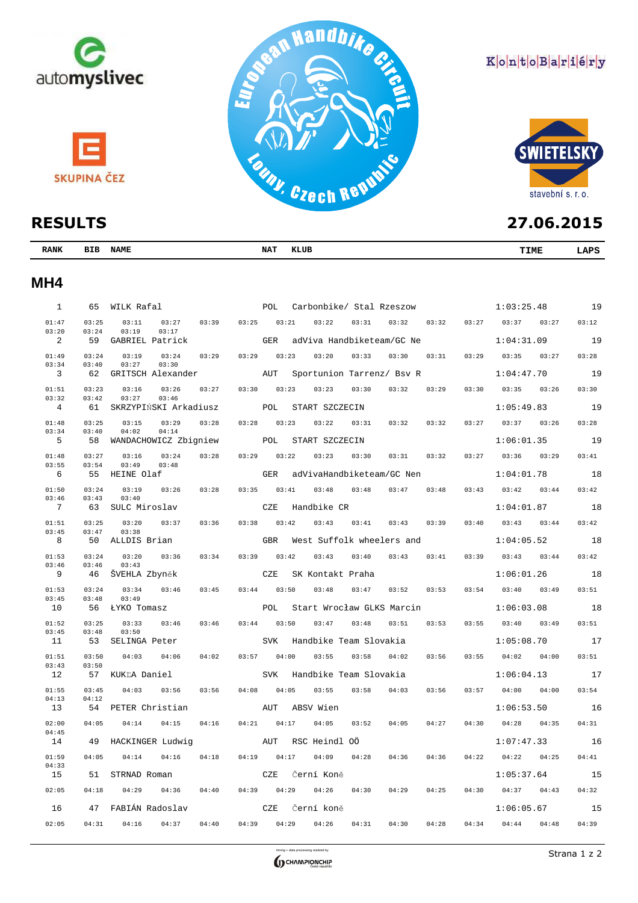

# **RESULTS**

| <b>RANK</b> | <b>BIB</b><br><b>NAME</b> | NAT | KLUB | <b>TIME</b> | <b>ADC</b> |
|-------------|---------------------------|-----|------|-------------|------------|
|             |                           |     |      |             |            |

### **MH4**

| $\mathbf{1}$   | 65             | WILK Rafal                                |       | POL        | Carbonbike/ Stal Rzeszow  |       |       |       |       | 1:03:25.48 |       | 19    |
|----------------|----------------|-------------------------------------------|-------|------------|---------------------------|-------|-------|-------|-------|------------|-------|-------|
| 01:47<br>03:20 | 03:25<br>03:24 | 03:39<br>03:11<br>03:27<br>03:19<br>03:17 | 03:25 | 03:21      | 03:22                     | 03:31 | 03:32 | 03:32 | 03:27 | 03:37      | 03:27 | 03:12 |
| 2              | 59             | GABRIEL Patrick                           |       | <b>GER</b> | adViva Handbiketeam/GC Ne |       |       |       |       | 1:04:31.09 |       | 19    |
| 01:49          | 03:24          | 03:19<br>03:24<br>03:29                   | 03:29 | 03:23      | 03:20                     | 03:33 | 03:30 | 03:31 | 03:29 | 03:35      | 03:27 | 03:28 |
| 03:34<br>3     | 03:40<br>62    | 03:27<br>03:30<br>GRITSCH Alexander       |       | AUT        | Sportunion Tarrenz/ Bsv R |       |       |       |       | 1:04:47.70 |       | 19    |
| 01:51          | 03:23          | 03:16<br>03:26<br>03:27                   | 03:30 | 03:23      | 03:23                     | 03:30 | 03:32 | 03:29 | 03:30 | 03:35      | 03:26 | 03:30 |
| 03:32<br>4     | 03:42<br>61    | 03:27<br>03:46<br>SKRZYPIŃSKI Arkadiusz   |       | POL        | START SZCZECIN            |       |       |       |       | 1:05:49.83 |       | 19    |
| 01:48          | 03:25          | 03:15<br>03:29<br>03:28                   | 03:28 | 03:23      | 03:22                     | 03:31 | 03:32 | 03:32 | 03:27 | 03:37      | 03:26 | 03:28 |
| 03:34<br>5     | 03:40<br>58    | 04:02<br>04:14<br>WANDACHOWICZ Zbigniew   |       | POL        | START SZCZECIN            |       |       |       |       | 1:06:01.35 |       | 19    |
| 01:48          | 03:27          | 03:16<br>03:24<br>03:28                   | 03:29 | 03:22      | 03:23                     | 03:30 | 03:31 | 03:32 | 03:27 | 03:36      | 03:29 | 03:41 |
| 03:55          | 03:54          | 03:49<br>03:48                            |       |            |                           |       |       |       |       |            |       |       |
| 6              | 55             | HEINE Olaf                                |       | GER        | adVivaHandbiketeam/GC Nen |       |       |       |       | 1:04:01.78 |       | 18    |
| 01:50<br>03:46 | 03:24<br>03:43 | 03:19<br>03:26<br>03:28<br>03:40          | 03:35 | 03:41      | 03:48                     | 03:48 | 03:47 | 03:48 | 03:43 | 03:42      | 03:44 | 03:42 |
| 7              | 63             | SULC Miroslav                             |       | CZE        | Handbike CR               |       |       |       |       | 1:04:01.87 |       | 18    |
| 01:51<br>03:45 | 03:25<br>03:47 | 03:20<br>03:37<br>03:36<br>03:38          | 03:38 | 03:42      | 03:43                     | 03:41 | 03:43 | 03:39 | 03:40 | 03:43      | 03:44 | 03:42 |
| 8              | 50             | ALLDIS Brian                              |       | <b>GBR</b> | West Suffolk wheelers and |       |       |       |       | 1:04:05.52 |       | 18    |
| 01:53<br>03:46 | 03:24<br>03:46 | 03:20<br>03:34<br>03:36<br>03:43          | 03:39 | 03:42      | 03:43                     | 03:40 | 03:43 | 03:41 | 03:39 | 03:43      | 03:44 | 03:42 |
| 9              | 46             | ŠVEHLA Zbyněk                             |       | CZE        | SK Kontakt Praha          |       |       |       |       | 1:06:01.26 |       | 18    |
| 01:53          | 03:24          | 03:34<br>03:46<br>03:45                   | 03:44 | 03:50      | 03:48                     | 03:47 | 03:52 | 03:53 | 03:54 | 03:40      | 03:49 | 03:51 |
| 03:45<br>10    | 03:48<br>56    | 03:49<br><b>ŁYKO Tomasz</b>               |       | POL        | Start Wrocław GLKS Marcin |       |       |       |       | 1:06:03.08 |       | 18    |
| 01:52          | 03:25          | 03:33<br>03:46<br>03:46                   | 03:44 | 03:50      | 03:47                     | 03:48 | 03:51 | 03:53 | 03:55 | 03:40      | 03:49 | 03:51 |
| 03:45<br>11    | 03:48<br>53    | 03:50<br>SELINGA Peter                    |       | <b>SVK</b> | Handbike Team Slovakia    |       |       |       |       | 1:05:08.70 |       | 17    |
| 01:51          | 03:50          | 04:03<br>04:06<br>04:02                   | 03:57 | 04:00      | 03:55                     | 03:58 | 04:02 | 03:56 | 03:55 | 04:02      | 04:00 | 03:51 |
| 03:43<br>12    | 03:50<br>57    | KUKĽA Daniel                              |       | <b>SVK</b> | Handbike Team Slovakia    |       |       |       |       | 1:06:04.13 |       | 17    |
| 01:55          | 03:45          | 04:03<br>03:56<br>03:56                   | 04:08 | 04:05      | 03:55                     | 03:58 | 04:03 | 03:56 | 03:57 | 04:00      | 04:00 | 03:54 |
| 04:13<br>13    | 04:12<br>54    | PETER Christian                           |       | AUT        | ABSV Wien                 |       |       |       |       | 1:06:53.50 |       | 16    |
| 02:00          | 04:05          | 04:14<br>04:15<br>04:16                   | 04:21 | 04:17      | 04:05                     | 03:52 | 04:05 | 04:27 | 04:30 | 04:28      | 04:35 | 04:31 |
| 04:45<br>14    | 49             | HACKINGER Ludwig                          |       | AUT        | RSC Heindl OÖ             |       |       |       |       | 1:07:47.33 |       | 16    |
| 01:59          | 04:05          | 04:14<br>04:16<br>04:18                   | 04:19 | 04:17      | 04:09                     | 04:28 | 04:36 | 04:36 | 04:22 | 04:22      | 04:25 | 04:41 |
| 04:33<br>15    | 51             | STRNAD Roman                              |       | CZE        | Černí Koně                |       |       |       |       | 1:05:37.64 |       | 15    |
| 02:05          | 04:18          | 04:29<br>04:36<br>04:40                   | 04:39 | 04:29      | 04:26                     | 04:30 | 04:29 | 04:25 | 04:30 | 04:37      | 04:43 | 04:32 |
| 16             | 47             | FABIÁN Radoslav                           |       | CZE        | Černí koně                |       |       |       |       | 1:06:05.67 |       | 15    |
| 02:05          | 04:31          | 04:16<br>04:37<br>04:40                   | 04:39 | 04:29      | 04:26                     | 04:31 | 04:30 | 04:28 | 04:34 | 04:44      | 04:48 | 04:39 |
|                |                |                                           |       |            |                           |       |       |       |       |            |       |       |